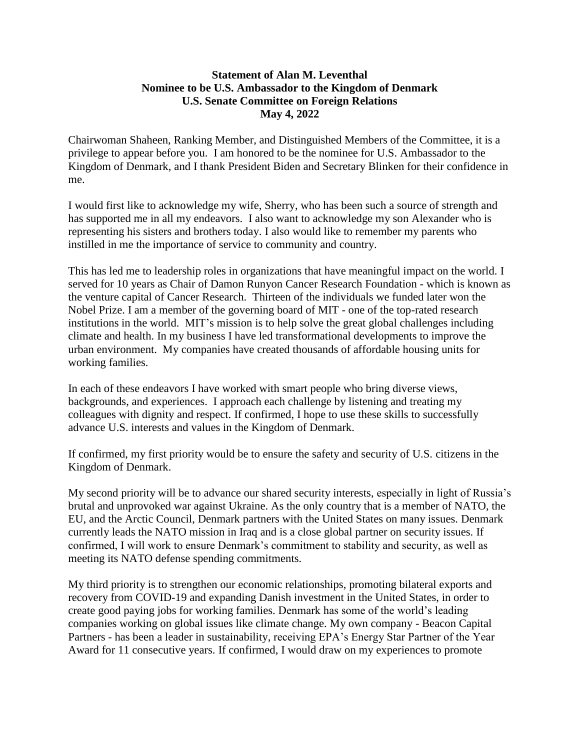## **Statement of Alan M. Leventhal Nominee to be U.S. Ambassador to the Kingdom of Denmark U.S. Senate Committee on Foreign Relations May 4, 2022**

Chairwoman Shaheen, Ranking Member, and Distinguished Members of the Committee, it is a privilege to appear before you. I am honored to be the nominee for U.S. Ambassador to the Kingdom of Denmark, and I thank President Biden and Secretary Blinken for their confidence in me.

I would first like to acknowledge my wife, Sherry, who has been such a source of strength and has supported me in all my endeavors. I also want to acknowledge my son Alexander who is representing his sisters and brothers today. I also would like to remember my parents who instilled in me the importance of service to community and country.

This has led me to leadership roles in organizations that have meaningful impact on the world. I served for 10 years as Chair of Damon Runyon Cancer Research Foundation - which is known as the venture capital of Cancer Research. Thirteen of the individuals we funded later won the Nobel Prize. I am a member of the governing board of MIT - one of the top-rated research institutions in the world. MIT's mission is to help solve the great global challenges including climate and health. In my business I have led transformational developments to improve the urban environment. My companies have created thousands of affordable housing units for working families.

In each of these endeavors I have worked with smart people who bring diverse views, backgrounds, and experiences. I approach each challenge by listening and treating my colleagues with dignity and respect. If confirmed, I hope to use these skills to successfully advance U.S. interests and values in the Kingdom of Denmark.

If confirmed, my first priority would be to ensure the safety and security of U.S. citizens in the Kingdom of Denmark.

My second priority will be to advance our shared security interests, especially in light of Russia's brutal and unprovoked war against Ukraine. As the only country that is a member of NATO, the EU, and the Arctic Council, Denmark partners with the United States on many issues. Denmark currently leads the NATO mission in Iraq and is a close global partner on security issues. If confirmed, I will work to ensure Denmark's commitment to stability and security, as well as meeting its NATO defense spending commitments.

My third priority is to strengthen our economic relationships, promoting bilateral exports and recovery from COVID-19 and expanding Danish investment in the United States, in order to create good paying jobs for working families. Denmark has some of the world's leading companies working on global issues like climate change. My own company - Beacon Capital Partners - has been a leader in sustainability, receiving EPA's Energy Star Partner of the Year Award for 11 consecutive years. If confirmed, I would draw on my experiences to promote